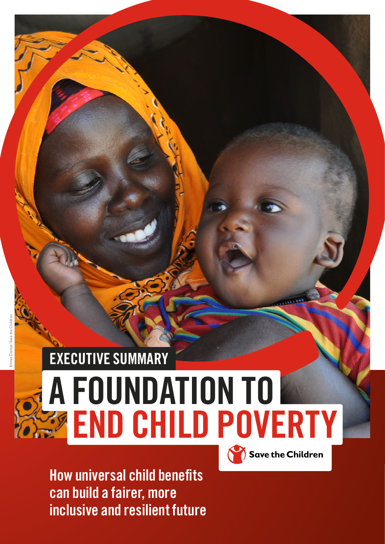## EXECUTIVE SUMMARY A FOUNDATION TO **END CHILD POVERTY** Save the Children

How universal child benefits can build a fairer, more inclusive and resilient future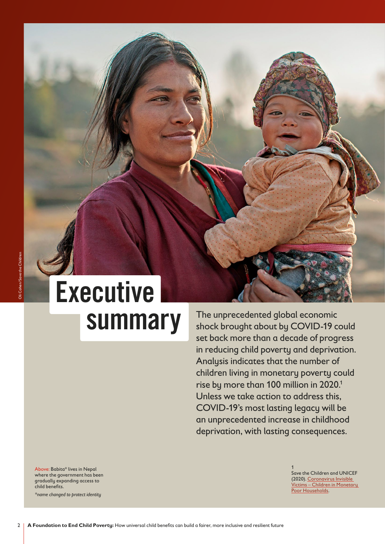# Executive

SUMMAry The unprecedented global economic<br>shock brought about by COVID-19 c shock brought about by COVID-19 could set back more than a decade of progress in reducing child poverty and deprivation. Analysis indicates that the number of children living in monetary poverty could rise by more than 100 million in 2020.<sup>1</sup> Unless we take action to address this, COVID-19's most lasting legacy will be an unprecedented increase in childhood deprivation, with lasting consequences.

Above: Babita\* lives in Nepal where the government has been gradually expanding access to child benefits.

*\*name changed to protect identity*

1 Save the Children and UNICEF (2020). [Coronavirus Invisible](https://www.savethechildren.org.uk/blogs/2020/coronavirus-invisible-victims-children-in-monetary-poor-househol)  [Victims – Children in Monetary](https://www.savethechildren.org.uk/blogs/2020/coronavirus-invisible-victims-children-in-monetary-poor-househol)  [Poor Households.](https://www.savethechildren.org.uk/blogs/2020/coronavirus-invisible-victims-children-in-monetary-poor-househol)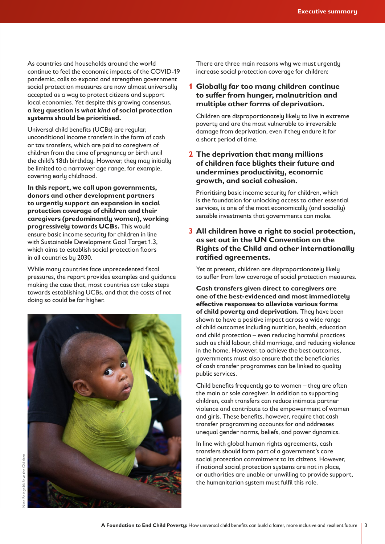As countries and households around the world continue to feel the economic impacts of the COVID-19 pandemic, calls to expand and strengthen government social protection measures are now almost universally accepted as a way to protect citizens and support local economies. Yet despite this growing consensus, **a key question is** *what kind* **of social protection systems should be prioritised.** 

Universal child benefits (UCBs) are regular, unconditional income transfers in the form of cash or tax transfers, which are paid to caregivers of children from the time of pregnancy or birth until the child's 18th birthday. However, they may initially be limited to a narrower age range, for example, covering early childhood.

**In this report, we call upon governments, donors and other development partners to urgently support an expansion in social protection coverage of children and their caregivers (predominantly women), working progressively towards UCBs.** This would ensure basic income security for children in line with Sustainable Development Goal Target 1.3, which aims to establish social protection floors in all countries by 2030.

While many countries face unprecedented fiscal pressures, the report provides examples and guidance making the case that, most countries *can* take steps towards establishing UCBs, and that the costs of *not* doing so could be far higher.



There are three main reasons why we must urgently increase social protection coverage for children:

#### **1 Globally far too many children continue to suffer from hunger, malnutrition and multiple other forms of deprivation.**

Children are disproportionately likely to live in extreme poverty and are the most vulnerable to irreversible damage from deprivation, even if they endure it for a short period of time.

#### **2 The deprivation that many millions of children face blights their future and undermines productivity, economic growth, and social cohesion.**

Prioritising basic income security for children, which is the foundation for unlocking access to other essential services, is one of the most economically (and socially) sensible investments that governments can make.

#### **3 All children have a right to social protection, as set out in the UN Convention on the Rights of the Child and other internationally ratified agreements.**

Yet at present, children are disproportionately likely to suffer from low coverage of social protection measures.

**Cash transfers given direct to caregivers are one of the best-evidenced and most immediately effective responses to alleviate various forms of child poverty and deprivation.** They have been shown to have a positive impact across a wide range of child outcomes including nutrition, health, education and child protection – even reducing harmful practices such as child labour, child marriage, and reducing violence in the home. However, to achieve the best outcomes, governments must also ensure that the beneficiaries of cash transfer programmes can be linked to quality public services.

Child benefits frequently go to women – they are often the main or sole caregiver. In addition to supporting children, cash transfers can reduce intimate partner violence and contribute to the empowerment of women and girls. These benefits, however, require that cash transfer programming accounts for and addresses unequal gender norms, beliefs, and power dynamics.

In line with global human rights agreements, cash transfers should form part of a government's core social protection commitment to its citizens. However, if national social protection systems are not in place, or authorities are unable or unwilling to provide support, the humanitarian system must fulfil this role.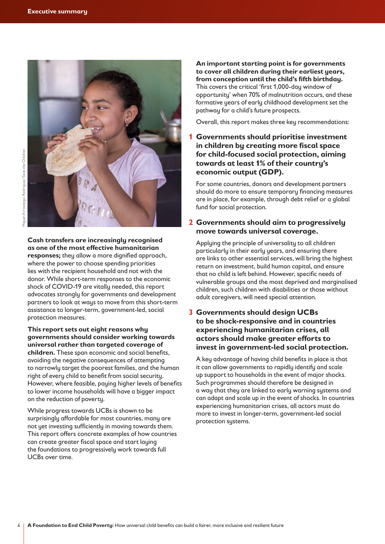

**Cash transfers are increasingly recognised as one of the most effective humanitarian responses;** they allow a more dignified approach, where the power to choose spending priorities lies with the recipient household and not with the donor. While short-term responses to the economic shock of COVID-19 are vitally needed, this report advocates strongly for governments and development partners to look at ways to move from this short-term assistance to longer-term, government-led, social protection measures.

#### **This report sets out eight reasons why governments should consider working towards universal rather than targeted coverage of children.** These span economic and social benefits, avoiding the negative consequences of attempting to narrowly target the poorest families, and the human right of every child to benefit from social security.

However, where feasible, paying higher levels of benefits to lower income households will have a bigger impact on the reduction of poverty.

While progress towards UCBs is shown to be surprisingly affordable for most countries, many are not yet investing sufficiently in moving towards them. This report offers concrete examples of how countries can create greater fiscal space and start laying the foundations to progressively work towards full UCBs over time.

**An important starting point is for governments to cover all children during their earliest years, from conception until the child's fifth birthday.** This covers the critical 'first 1,000-day window of opportunity' when 70% of malnutrition occurs, and these formative years of early childhood development set the pathway for a child's future prospects.

Overall, this report makes three key recommendations:

#### **1 Governments should prioritise investment in children by creating more fiscal space for child-focused social protection, aiming towards at least 1% of their country's economic output (GDP).**

For some countries, donors and development partners should do more to ensure temporary financing measures are in place, for example, through debt relief or a global fund for social protection.

#### **2 Governments should aim to progressively move towards universal coverage.**

Applying the principle of universality to all children particularly in their early years, and ensuring there are links to other essential services, will bring the highest return on investment, build human capital, and ensure that no child is left behind. However, specific needs of vulnerable groups and the most deprived and marginalised children, such children with disabilities or those without adult caregivers, will need special attention.

#### **3 Governments should design UCBs to be shock-responsive and in countries experiencing humanitarian crises, all actors should make greater efforts to invest in government-led social protection.**

A key advantage of having child benefits in place is that it can allow governments to rapidly identify and scale up support to households in the event of major shocks. Such programmes should therefore be designed in a way that they are linked to early warning systems and can adapt and scale up in the event of shocks. In countries experiencing humanitarian crises, all actors must do more to invest in longer-term, government-led social protection sustems.